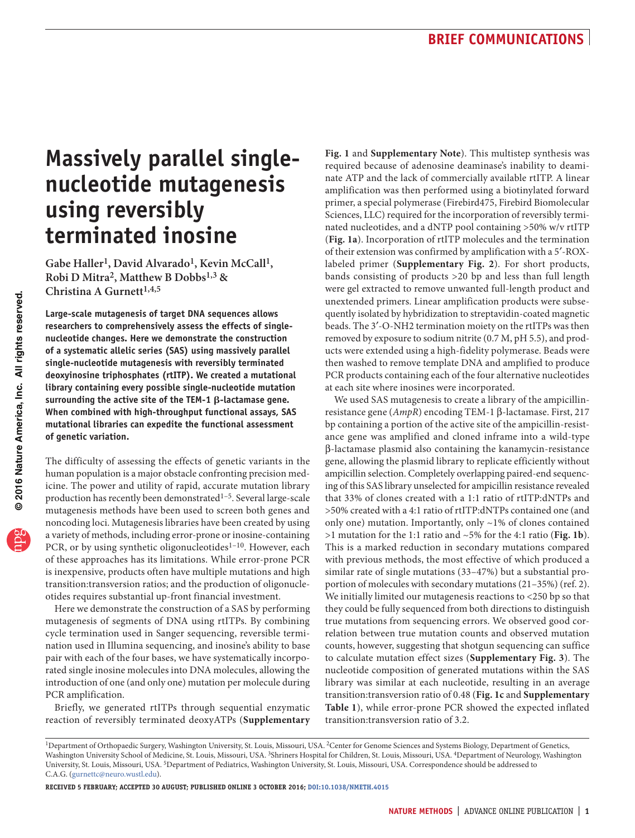# **Massively parallel singlenucleotide mutagenesis using reversibly terminated inosine**

Gabe Haller<sup>1</sup>, David Alvarado<sup>1</sup>, Kevin McCall<sup>1</sup>, **Robi D Mitra2, Matthew B Dobbs1,3 &**  Christina A Gurnett<sup>1,4,5</sup>

**Large-scale mutagenesis of target DNA sequences allows researchers to comprehensively assess the effects of singlenucleotide changes. Here we demonstrate the construction of a systematic allelic series (SAS) using massively parallel single-nucleotide mutagenesis with reversibly terminated deoxyinosine triphosphates (rtITP). We created a mutational library containing every possible single-nucleotide mutation surrounding the active site of the TEM-1** b**-lactamase gene. When combined with high-throughput functional assays, SAS mutational libraries can expedite the functional assessment of genetic variation.** 

The difficulty of assessing the effects of genetic variants in the human population is a major obstacle confronting precision medicine. The power and utility of rapid, accurate mutation library production has recently been demonstrated<sup>1-5</sup>. Several large-scale mutagenesis methods have been used to screen both genes and noncoding loci. Mutagenesis libraries have been created by using a variety of methods, including error-prone or inosine-containing PCR, or by using synthetic oligonucleotides<sup>1-[10](#page-1-4)</sup>. However, each of these approaches has its limitations. While error-prone PCR is inexpensive, products often have multiple mutations and high transition:transversion ratios; and the production of oligonucleotides requires substantial up-front financial investment.

Here we demonstrate the construction of a SAS by performing mutagenesis of segments of DNA using rtITPs. By combining cycle termination used in Sanger sequencing, reversible termination used in Illumina sequencing, and inosine's ability to base pair with each of the four bases, we have systematically incorporated single inosine molecules into DNA molecules, allowing the introduction of one (and only one) mutation per molecule during PCR amplification.

Briefly, we generated rtITPs through sequential enzymatic reaction of reversibly terminated deoxyATPs (**Supplementary**  **Fig. 1** and **Supplementary Note**). This multistep synthesis was required because of adenosine deaminase's inability to deaminate ATP and the lack of commercially available rtITP. A linear amplification was then performed using a biotinylated forward primer, a special polymerase (Firebird475, Firebird Biomolecular Sciences, LLC) required for the incorporation of reversibly terminated nucleotides, and a dNTP pool containing >50% w/v rtITP (**[Fig. 1a](#page-1-0)**). Incorporation of rtITP molecules and the termination of their extension was confirmed by amplification with a 5′-ROXlabeled primer (**Supplementary Fig. 2**). For short products, bands consisting of products >20 bp and less than full length were gel extracted to remove unwanted full-length product and unextended primers. Linear amplification products were subsequently isolated by hybridization to streptavidin-coated magnetic beads. The 3′-O-NH2 termination moiety on the rtITPs was then removed by exposure to sodium nitrite (0.7 M, pH 5.5), and products were extended using a high-fidelity polymerase. Beads were then washed to remove template DNA and amplified to produce PCR products containing each of the four alternative nucleotides at each site where inosines were incorporated.

We used SAS mutagenesis to create a library of the ampicillinresistance gene (*AmpR*) encoding TEM-1 β-lactamase. First, 217 bp containing a portion of the active site of the ampicillin-resistance gene was amplified and cloned inframe into a wild-type β-lactamase plasmid also containing the kanamycin-resistance gene, allowing the plasmid library to replicate efficiently without ampicillin selection. Completely overlapping paired-end sequencing of this SAS library unselected for ampicillin resistance revealed that 33% of clones created with a 1:1 ratio of rtITP:dNTPs and >50% created with a 4:1 ratio of rtITP:dNTPs contained one (and only one) mutation. Importantly, only ~1% of clones contained >1 mutation for the 1:1 ratio and ~5% for the 4:1 ratio (**[Fig. 1b](#page-1-0)**). This is a marked reduction in secondary mutations compared with previous methods, the most effective of which produced a similar rate of single mutations (33–47%) but a substantial proportion of molecules with secondary mutations (21–35%) (ref. [2\)](#page-1-1). We initially limited our mutagenesis reactions to <250 bp so that they could be fully sequenced from both directions to distinguish true mutations from sequencing errors. We observed good correlation between true mutation counts and observed mutation counts, however, suggesting that shotgun sequencing can suffice to calculate mutation effect sizes (**Supplementary Fig. 3**). The nucleotide composition of generated mutations within the SAS library was similar at each nucleotide, resulting in an average transition:transversion ratio of 0.48 (**[Fig. 1c](#page-1-0)** and **Supplementary Table 1**), while error-prone PCR showed the expected inflated transition:transversion ratio of 3.2.

**Received 5 February; accepted 30 August; published online 3 October 2016; [doi:10.1038/nmeth.4015](http://dx.doi.org/10.1038/nmeth.4015)**

<sup>&</sup>lt;sup>1</sup>Department of Orthopaedic Surgery, Washington University, St. Louis, Missouri, USA. <sup>2</sup>Center for Genome Sciences and Systems Biology, Department of Genetics, Washington University School of Medicine, St. Louis, Missouri, USA. 3Shriners Hospital for Children, St. Louis, Missouri, USA. 4Department of Neurology, Washington University, St. Louis, Missouri, USA. 5Department of Pediatrics, Washington University, St. Louis, Missouri, USA. Correspondence should be addressed to C.A.G. (gurnettc@neuro.wustl.edu).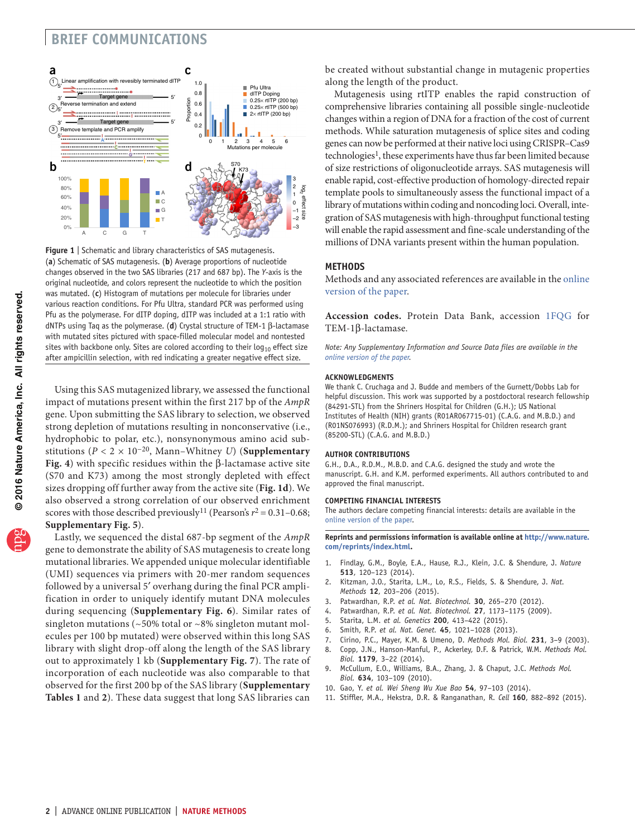## **brief communications**



<span id="page-1-0"></span>**Figure 1** | Schematic and library characteristics of SAS mutagenesis. (**a**) Schematic of SAS mutagenesis. (**b**) Average proportions of nucleotide changes observed in the two SAS libraries (217 and 687 bp). The *Y*-axis is the original nucleotide, and colors represent the nucleotide to which the position was mutated. (**c**) Histogram of mutations per molecule for libraries under various reaction conditions. For Pfu Ultra, standard PCR was performed using Pfu as the polymerase. For dITP doping, dITP was included at a 1:1 ratio with dNTPs using Taq as the polymerase. (**d**) Crystal structure of TEM-1 β-lactamase with mutated sites pictured with space-filled molecular model and nontested sites with backbone only. Sites are colored according to their  $log_{10}$  effect size after ampicillin selection, with red indicating a greater negative effect size.

Using this SAS mutagenized library, we assessed the functional impact of mutations present within the first 217 bp of the *AmpR* gene. Upon submitting the SAS library to selection, we observed strong depletion of mutations resulting in nonconservative (i.e., hydrophobic to polar, etc.), nonsynonymous amino acid substitutions ( $P < 2 \times 10^{-20}$ , Mann–Whitney *U*) (**Supplementary Fig. 4**) with specific residues within the β-lactamase active site (S70 and K73) among the most strongly depleted with effect sizes dropping off further away from the active site (**[Fig. 1d](#page-1-0)**). We also observed a strong correlation of our observed enrichment scores with those described previously<sup>11</sup> (Pearson's  $r^2 = 0.31 - 0.68$ ; **Supplementary Fig. 5**).

Lastly, we sequenced the distal 687-bp segment of the *AmpR* gene to demonstrate the ability of SAS mutagenesis to create long mutational libraries. We appended unique molecular identifiable (UMI) sequences via primers with 20-mer random sequences followed by a universal 5′ overhang during the final PCR amplification in order to uniquely identify mutant DNA molecules during sequencing (**Supplementary Fig. 6**). Similar rates of singleton mutations ( $\sim$  50% total or  $\sim$  8% singleton mutant molecules per 100 bp mutated) were observed within this long SAS library with slight drop-off along the length of the SAS library out to approximately 1 kb (**Supplementary Fig. 7**). The rate of incorporation of each nucleotide was also comparable to that observed for the first 200 bp of the SAS library (**Supplementary Tables 1** and **2**). These data suggest that long SAS libraries can be created without substantial change in mutagenic properties along the length of the product.

Mutagenesis using rtITP enables the rapid construction of comprehensive libraries containing all possible single-nucleotide changes within a region of DNA for a fraction of the cost of current methods. While saturation mutagenesis of splice sites and coding genes can now be performed at their native loci using CRISPR–Cas9 technologies<sup>[1](#page-1-2)</sup>, these experiments have thus far been limited because of size restrictions of oligonucleotide arrays. SAS mutagenesis will enable rapid, cost-effective production of homology-directed repair template pools to simultaneously assess the functional impact of a library of mutations within coding and noncoding loci. Overall, integration of SAS mutagenesis with high-throughput functional testing will enable the rapid assessment and fine-scale understanding of the millions of DNA variants present within the human population.

#### **Methods**

Methods and any associated references are available in the [online](http://dx.doi.org/10.1038/nmeth.4015) [version](http://dx.doi.org/10.1038/nmeth.4015) of the paper.

**Accession codes.** Protein Data Bank, accession [1FQG](http://www.rcsb.org/pdb/explore/explore.do?structureId=1FQG) for TEM-1β-lactamase.

*Note: Any Supplementary Information and Source Data files are available in the online [version](http://dx.doi.org/10.1038/nmeth.4015) of the paper.*

#### **Acknowledgments**

We thank C. Cruchaga and J. Budde and members of the Gurnett/Dobbs Lab for helpful discussion. This work was supported by a postdoctoral research fellowship (84291-STL) from the Shriners Hospital for Children (G.H.); US National Institutes of Health (NIH) grants (R01AR067715-01) (C.A.G. and M.B.D.) and (R01NS076993) (R.D.M.); and Shriners Hospital for Children research grant (85200-STL) (C.A.G. and M.B.D.)

#### **AUTHOR CONTRIBUTIONS**

G.H., D.A., R.D.M., M.B.D. and C.A.G. designed the study and wrote the manuscript. G.H. and K.M. performed experiments. All authors contributed to and approved the final manuscript.

#### **COMPETING FINANCIAL INTERESTS**

The authors declare competing financial interests: details are available in the online [version](http://dx.doi.org/10.1038/nmeth.4015) of the paper.

**Reprints and permissions information is available online at [http://www.nature.](http://www.nature.com/reprints/index.html) [com/reprints/index.html.](http://www.nature.com/reprints/index.html)**

- <span id="page-1-2"></span>1. Findlay, G.M., Boyle, E.A., Hause, R.J., Klein, J.C. & Shendure, J. *Nature* **513**, 120–123 (2014).
- <span id="page-1-1"></span>2. Kitzman, J.O., Starita, L.M., Lo, R.S., Fields, S. & Shendure, J. *Nat. Methods* **12**, 203–206 (2015).
- 3. Patwardhan, R.P. *et al. Nat. Biotechnol.* **30**, 265–270 (2012).
- 4. Patwardhan, R.P. *et al. Nat. Biotechnol.* **27**, 1173–1175 (2009).
- <span id="page-1-3"></span>5. Starita, L.M. *et al. Genetics* **200**, 413–422 (2015).
- 6. Smith, R.P. *et al. Nat. Genet.* **45**, 1021–1028 (2013).
- 7. Cirino, P.C., Mayer, K.M. & Umeno, D. *Methods Mol. Biol.* **231**, 3–9 (2003).
- 8. Copp, J.N., Hanson-Manful, P., Ackerley, D.F. & Patrick, W.M. *Methods Mol. Biol.* **1179**, 3–22 (2014).
- 9. McCullum, E.O., Williams, B.A., Zhang, J. & Chaput, J.C. *Methods Mol. Biol.* **634**, 103–109 (2010).
- <span id="page-1-4"></span>10. Gao, Y. *et al. Wei Sheng Wu Xue Bao* **54**, 97–103 (2014).
- <span id="page-1-5"></span>11. Stiffler, M.A., Hekstra, D.R. & Ranganathan, R. *Cell* **160**, 882–892 (2015).